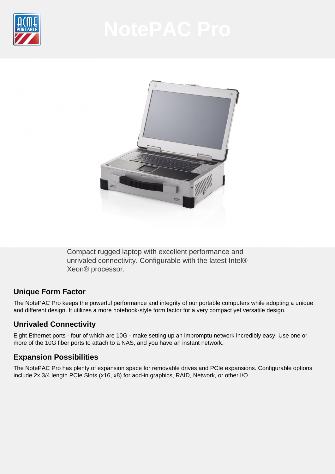



Compact rugged laptop with excellent performance and unrivaled connectivity. Configurable with the latest Intel® Xeon® processor.

## **Unique Form Factor**

The NotePAC Pro keeps the powerful performance and integrity of our portable computers while adopting a unique and different design. It utilizes a more notebook-style form factor for a very compact yet versatile design.

## **Unrivaled Connectivity**

Eight Ethernet ports - four of which are 10G - make setting up an impromptu network incredibly easy. Use one or more of the 10G fiber ports to attach to a NAS, and you have an instant network.

## **Expansion Possibilities**

The NotePAC Pro has plenty of expansion space for removable drives and PCIe expansions. Configurable options include 2x 3/4 length PCIe Slots (x16, x8) for add-in graphics, RAID, Network, or other I/O.